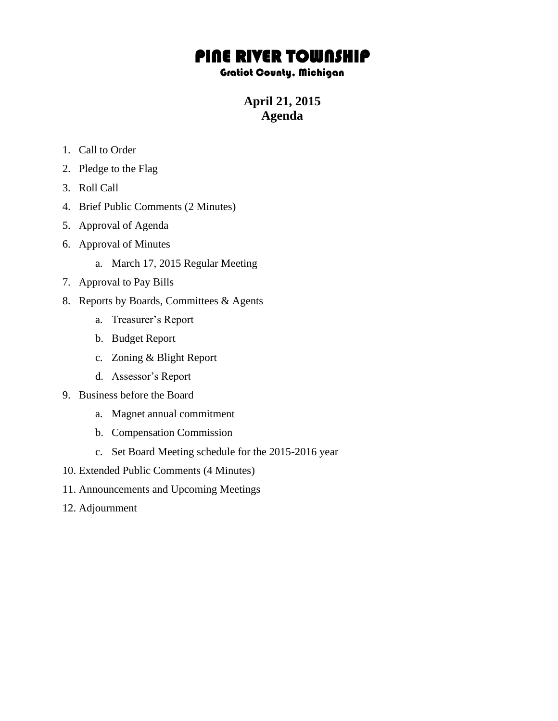## PINE RIVER TOWNSHIP

## Gratiot County, Michigan

**April 21, 2015 Agenda**

- 1. Call to Order
- 2. Pledge to the Flag
- 3. Roll Call
- 4. Brief Public Comments (2 Minutes)
- 5. Approval of Agenda
- 6. Approval of Minutes
	- a. March 17, 2015 Regular Meeting
- 7. Approval to Pay Bills
- 8. Reports by Boards, Committees & Agents
	- a. Treasurer's Report
	- b. Budget Report
	- c. Zoning & Blight Report
	- d. Assessor's Report
- 9. Business before the Board
	- a. Magnet annual commitment
	- b. Compensation Commission
	- c. Set Board Meeting schedule for the 2015-2016 year
- 10. Extended Public Comments (4 Minutes)
- 11. Announcements and Upcoming Meetings
- 12. Adjournment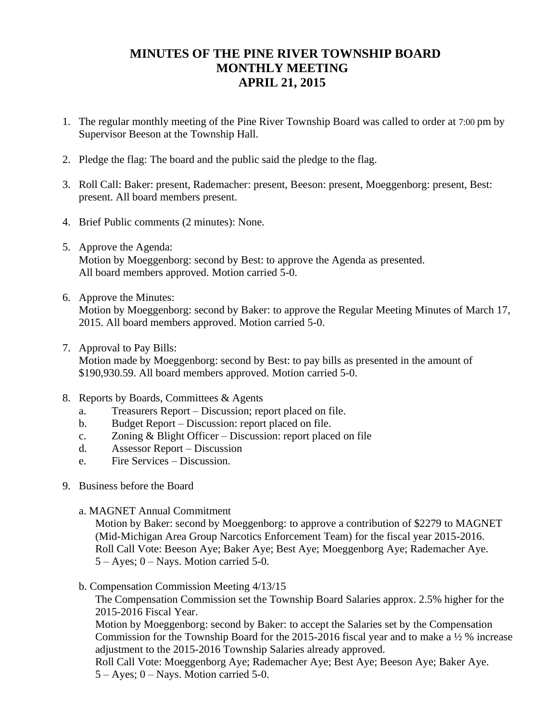## **MINUTES OF THE PINE RIVER TOWNSHIP BOARD MONTHLY MEETING APRIL 21, 2015**

- 1. The regular monthly meeting of the Pine River Township Board was called to order at 7:00 pm by Supervisor Beeson at the Township Hall.
- 2. Pledge the flag: The board and the public said the pledge to the flag.
- 3. Roll Call: Baker: present, Rademacher: present, Beeson: present, Moeggenborg: present, Best: present. All board members present.
- 4. Brief Public comments (2 minutes): None.
- 5. Approve the Agenda: Motion by Moeggenborg: second by Best: to approve the Agenda as presented. All board members approved. Motion carried 5-0.
- 6. Approve the Minutes: Motion by Moeggenborg: second by Baker: to approve the Regular Meeting Minutes of March 17, 2015. All board members approved. Motion carried 5-0.
- 7. Approval to Pay Bills:

Motion made by Moeggenborg: second by Best: to pay bills as presented in the amount of \$190,930.59. All board members approved. Motion carried 5-0.

- 8. Reports by Boards, Committees & Agents
	- a. Treasurers Report Discussion; report placed on file.
	- b. Budget Report Discussion: report placed on file.
	- c. Zoning & Blight Officer Discussion: report placed on file
	- d. Assessor Report Discussion
	- e. Fire Services Discussion.
- 9. Business before the Board
	- a. MAGNET Annual Commitment

Motion by Baker: second by Moeggenborg: to approve a contribution of \$2279 to MAGNET (Mid-Michigan Area Group Narcotics Enforcement Team) for the fiscal year 2015-2016. Roll Call Vote: Beeson Aye; Baker Aye; Best Aye; Moeggenborg Aye; Rademacher Aye. 5 – Ayes; 0 – Nays. Motion carried 5-0.

b. Compensation Commission Meeting 4/13/15

The Compensation Commission set the Township Board Salaries approx. 2.5% higher for the 2015-2016 Fiscal Year.

Motion by Moeggenborg: second by Baker: to accept the Salaries set by the Compensation Commission for the Township Board for the 2015-2016 fiscal year and to make a ½ % increase adjustment to the 2015-2016 Township Salaries already approved.

Roll Call Vote: Moeggenborg Aye; Rademacher Aye; Best Aye; Beeson Aye; Baker Aye.  $5 - Ayes$ ;  $0 - Nays$ . Motion carried 5-0.